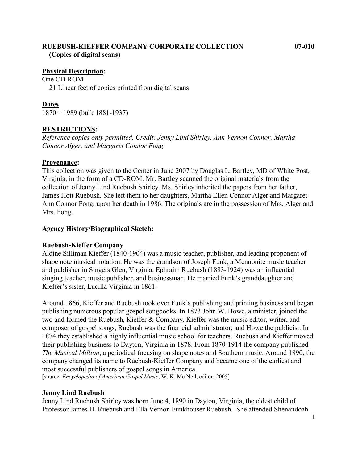## **RUEBUSH-KIEFFER COMPANY CORPORATE COLLECTION 07-010 (Copies of digital scans)**

#### **Physical Description:**

One CD-ROM .21 Linear feet of copies printed from digital scans

#### **Dates**

1870 – 1989 (bulk 1881-1937)

### **RESTRICTIONS:**

*Reference copies only permitted. Credit: Jenny Lind Shirley, Ann Vernon Connor, Martha Connor Alger, and Margaret Connor Fong.* 

#### **Provenance:**

This collection was given to the Center in June 2007 by Douglas L. Bartley, MD of White Post, Virginia, in the form of a CD-ROM. Mr. Bartley scanned the original materials from the collection of Jenny Lind Ruebush Shirley. Ms. Shirley inherited the papers from her father, James Hott Ruebush. She left them to her daughters, Martha Ellen Connor Alger and Margaret Ann Connor Fong, upon her death in 1986. The originals are in the possession of Mrs. Alger and Mrs. Fong.

#### **Agency History/Biographical Sketch:**

### **Ruebush-Kieffer Company**

Aldine Silliman Kieffer (1840-1904) was a music teacher, publisher, and leading proponent of shape note musical notation. He was the grandson of Joseph Funk, a Mennonite music teacher and publisher in Singers Glen, Virginia. Ephraim Ruebush (1883-1924) was an influential singing teacher, music publisher, and businessman. He married Funk's granddaughter and Kieffer's sister, Lucilla Virginia in 1861.

Around 1866, Kieffer and Ruebush took over Funk's publishing and printing business and began publishing numerous popular gospel songbooks. In 1873 John W. Howe, a minister, joined the two and formed the Ruebush, Kieffer & Company. Kieffer was the music editor, writer, and composer of gospel songs, Ruebush was the financial administrator, and Howe the publicist. In 1874 they established a highly influential music school for teachers. Ruebush and Kieffer moved their publishing business to Dayton, Virginia in 1878. From 1870-1914 the company published *The Musical Million*, a periodical focusing on shape notes and Southern music. Around 1890, the company changed its name to Ruebush-Kieffer Company and became one of the earliest and most successful publishers of gospel songs in America.

[source: *Encyclopedia of American Gospel Music*; W. K. Mc Neil, editor; 2005]

### **Jenny Lind Ruebush**

Jenny Lind Ruebush Shirley was born June 4, 1890 in Dayton, Virginia, the eldest child of Professor James H. Ruebush and Ella Vernon Funkhouser Ruebush. She attended Shenandoah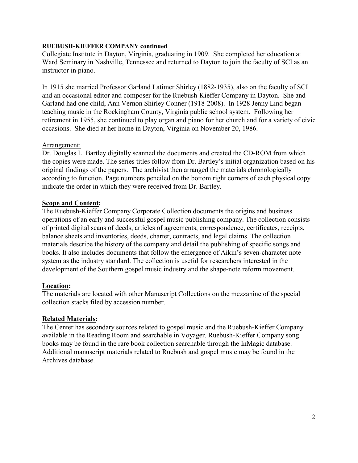#### **RUEBUSH-KIEFFER COMPANY continued**

Collegiate Institute in Dayton, Virginia, graduating in 1909. She completed her education at Ward Seminary in Nashville, Tennessee and returned to Dayton to join the faculty of SCI as an instructor in piano.

In 1915 she married Professor Garland Latimer Shirley (1882-1935), also on the faculty of SCI and an occasional editor and composer for the Ruebush-Kieffer Company in Dayton. She and Garland had one child, Ann Vernon Shirley Conner (1918-2008). In 1928 Jenny Lind began teaching music in the Rockingham County, Virginia public school system. Following her retirement in 1955, she continued to play organ and piano for her church and for a variety of civic occasions. She died at her home in Dayton, Virginia on November 20, 1986.

### Arrangement:

Dr. Douglas L. Bartley digitally scanned the documents and created the CD-ROM from which the copies were made. The series titles follow from Dr. Bartley's initial organization based on his original findings of the papers. The archivist then arranged the materials chronologically according to function. Page numbers penciled on the bottom right corners of each physical copy indicate the order in which they were received from Dr. Bartley.

### **Scope and Content:**

The Ruebush-Kieffer Company Corporate Collection documents the origins and business operations of an early and successful gospel music publishing company. The collection consists of printed digital scans of deeds, articles of agreements, correspondence, certificates, receipts, balance sheets and inventories, deeds, charter, contracts, and legal claims. The collection materials describe the history of the company and detail the publishing of specific songs and books. It also includes documents that follow the emergence of Aikin's seven-character note system as the industry standard. The collection is useful for researchers interested in the development of the Southern gospel music industry and the shape-note reform movement.

### **Location:**

The materials are located with other Manuscript Collections on the mezzanine of the special collection stacks filed by accession number.

### **Related Materials:**

The Center has secondary sources related to gospel music and the Ruebush-Kieffer Company available in the Reading Room and searchable in Voyager. Ruebush-Kieffer Company song books may be found in the rare book collection searchable through the InMagic database. Additional manuscript materials related to Ruebush and gospel music may be found in the Archives database.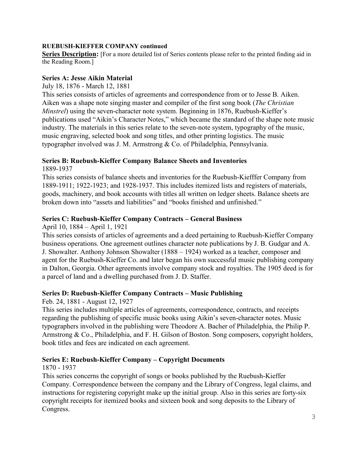## **RUEBUSH-KIEFFER COMPANY continued**

**Series Description:** [For a more detailed list of Series contents please refer to the printed finding aid in the Reading Room.]

## **Series A: Jesse Aikin Material**

## July 18, 1876 - March 12, 1881

This series consists of articles of agreements and correspondence from or to Jesse B. Aiken. Aiken was a shape note singing master and compiler of the first song book (*The Christian Minstrel*) using the seven-character note system. Beginning in 1876, Ruebush-Kieffer's publications used "Aikin's Character Notes," which became the standard of the shape note music industry. The materials in this series relate to the seven-note system, typography of the music, music engraving, selected book and song titles, and other printing logistics. The music typographer involved was J. M. Armstrong & Co. of Philadelphia, Pennsylvania.

## **Series B: Ruebush-Kieffer Company Balance Sheets and Inventories**

1889-1937

This series consists of balance sheets and inventories for the Ruebush-Kiefffer Company from 1889-1911; 1922-1923; and 1928-1937. This includes itemized lists and registers of materials, goods, machinery, and book accounts with titles all written on ledger sheets. Balance sheets are broken down into "assets and liabilities" and "books finished and unfinished."

## **Series C: Ruebush-Kieffer Company Contracts – General Business**

April 10, 1884 – April 1, 1921

This series consists of articles of agreements and a deed pertaining to Ruebush-Kieffer Company business operations. One agreement outlines character note publications by J. B. Gudgar and A. J. Showalter. Anthony Johnson Showalter (1888 – 1924) worked as a teacher, composer and agent for the Ruebush-Kieffer Co. and later began his own successful music publishing company in Dalton, Georgia. Other agreements involve company stock and royalties. The 1905 deed is for a parcel of land and a dwelling purchased from J. D. Staffer.

## **Series D: Ruebush-Kieffer Company Contracts – Music Publishing**

Feb. 24, 1881 - August 12, 1927

This series includes multiple articles of agreements, correspondence, contracts, and receipts regarding the publishing of specific music books using Aikin's seven-character notes. Music typographers involved in the publishing were Theodore A. Bacher of Philadelphia, the Philip P. Armstrong & Co., Philadelphia, and F. H. Gilson of Boston. Song composers, copyright holders, book titles and fees are indicated on each agreement.

## **Series E: Ruebush-Kieffer Company – Copyright Documents**

1870 - 1937

This series concerns the copyright of songs or books published by the Ruebush-Kieffer Company. Correspondence between the company and the Library of Congress, legal claims, and instructions for registering copyright make up the initial group. Also in this series are forty-six copyright receipts for itemized books and sixteen book and song deposits to the Library of Congress.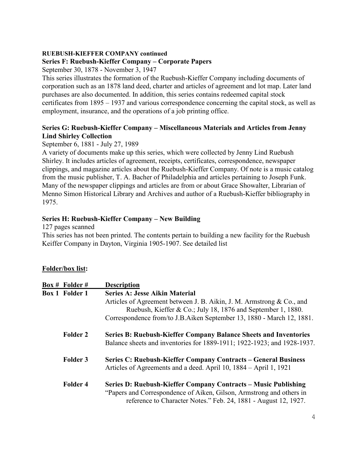## **RUEBUSH-KIEFFER COMPANY continued**

## **Series F: Ruebush-Kieffer Company – Corporate Papers**

September 30, 1878 - November 3, 1947

This series illustrates the formation of the Ruebush-Kieffer Company including documents of corporation such as an 1878 land deed, charter and articles of agreement and lot map. Later land purchases are also documented. In addition, this series contains redeemed capital stock certificates from 1895 – 1937 and various correspondence concerning the capital stock, as well as employment, insurance, and the operations of a job printing office.

## **Series G: Ruebush-Kieffer Company – Miscellaneous Materials and Articles from Jenny Lind Shirley Collection**

September 6, 1881 - July 27, 1989

A variety of documents make up this series, which were collected by Jenny Lind Ruebush Shirley. It includes articles of agreement, receipts, certificates, correspondence, newspaper clippings, and magazine articles about the Ruebush-Kieffer Company. Of note is a music catalog from the music publisher, T. A. Bacher of Philadelphia and articles pertaining to Joseph Funk. Many of the newspaper clippings and articles are from or about Grace Showalter, Librarian of Menno Simon Historical Library and Archives and author of a Ruebush-Kieffer bibliography in 1975.

# **Series H: Ruebush-Kieffer Company – New Building**

127 pages scanned

This series has not been printed. The contents pertain to building a new facility for the Ruebush Keiffer Company in Dayton, Virginia 1905-1907. See detailed list

## **Folder/box list:**

| Box # Folder #        | <b>Description</b>                                                                                                                                                                                             |
|-----------------------|----------------------------------------------------------------------------------------------------------------------------------------------------------------------------------------------------------------|
| <b>Box 1 Folder 1</b> | <b>Series A: Jesse Aikin Material</b>                                                                                                                                                                          |
|                       | Articles of Agreement between J. B. Aikin, J. M. Armstrong & Co., and<br>Ruebush, Kieffer & Co.; July 18, 1876 and September 1, 1880.<br>Correspondence from/to J.B.Aiken September 13, 1880 - March 12, 1881. |
| <b>Folder 2</b>       | <b>Series B: Ruebush-Kieffer Company Balance Sheets and Inventories</b><br>Balance sheets and inventories for 1889-1911; 1922-1923; and 1928-1937.                                                             |
| Folder 3              | Series C: Ruebush-Kieffer Company Contracts – General Business<br>Articles of Agreements and a deed. April 10, 1884 – April 1, 1921                                                                            |
| Folder 4              | Series D: Ruebush-Kieffer Company Contracts – Music Publishing<br>"Papers and Correspondence of Aiken, Gilson, Armstrong and others in<br>reference to Character Notes." Feb. 24, 1881 - August 12, 1927.      |